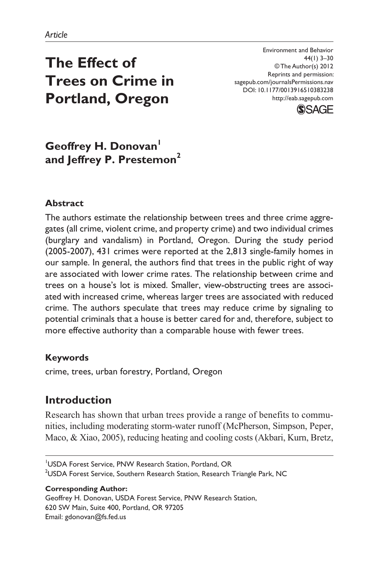# **The Effect of Trees on Crime in Portland, Oregon**

Environment and Behavior 44(1) 3–30 © The Author(s) 2012 Reprints and permission: sagepub.com/journalsPermissions.nav DOI: 10.1177/0013916510383238 http://eab.sagepub.com



# **Geoffrey H. Donovan and Jeffrey P. Prestemon<sup>2</sup>**

# **Abstract**

The authors estimate the relationship between trees and three crime aggregates (all crime, violent crime, and property crime) and two individual crimes (burglary and vandalism) in Portland, Oregon. During the study period (2005-2007), 431 crimes were reported at the 2,813 single-family homes in our sample. In general, the authors find that trees in the public right of way are associated with lower crime rates. The relationship between crime and trees on a house's lot is mixed. Smaller, view-obstructing trees are associated with increased crime, whereas larger trees are associated with reduced crime. The authors speculate that trees may reduce crime by signaling to potential criminals that a house is better cared for and, therefore, subject to more effective authority than a comparable house with fewer trees.

# **Keywords**

crime, trees, urban forestry, Portland, Oregon

# **Introduction**

Research has shown that urban trees provide a range of benefits to communities, including moderating storm-water runoff (McPherson, Simpson, Peper, Maco, & Xiao, 2005), reducing heating and cooling costs (Akbari, Kurn, Bretz,

1 USDA Forest Service, PNW Research Station, Portland, OR <sup>2</sup>USDA Forest Service, Southern Research Station, Research Triangle Park, NC

#### **Corresponding Author:**

Geoffrey H. Donovan, USDA Forest Service, PNW Research Station, 620 SW Main, Suite 400, Portland, OR 97205 Email: gdonovan@fs.fed.us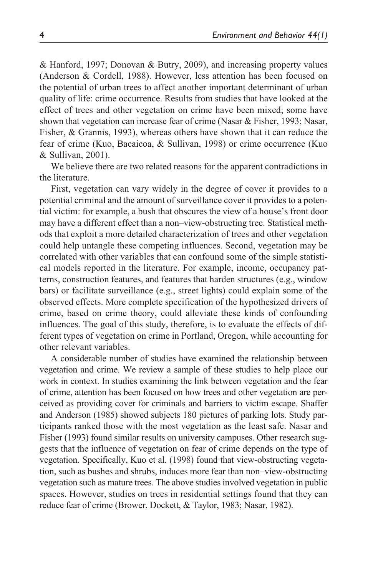& Hanford, 1997; Donovan & Butry, 2009), and increasing property values (Anderson & Cordell, 1988). However, less attention has been focused on the potential of urban trees to affect another important determinant of urban quality of life: crime occurrence. Results from studies that have looked at the effect of trees and other vegetation on crime have been mixed; some have shown that vegetation can increase fear of crime (Nasar & Fisher, 1993; Nasar, Fisher, & Grannis, 1993), whereas others have shown that it can reduce the fear of crime (Kuo, Bacaicoa, & Sullivan, 1998) or crime occurrence (Kuo & Sullivan, 2001).

We believe there are two related reasons for the apparent contradictions in the literature.

First, vegetation can vary widely in the degree of cover it provides to a potential criminal and the amount of surveillance cover it provides to a potential victim: for example, a bush that obscures the view of a house's front door may have a different effect than a non–view-obstructing tree. Statistical methods that exploit a more detailed characterization of trees and other vegetation could help untangle these competing influences. Second, vegetation may be correlated with other variables that can confound some of the simple statistical models reported in the literature. For example, income, occupancy patterns, construction features, and features that harden structures (e.g., window bars) or facilitate surveillance (e.g., street lights) could explain some of the observed effects. More complete specification of the hypothesized drivers of crime, based on crime theory, could alleviate these kinds of confounding influences. The goal of this study, therefore, is to evaluate the effects of different types of vegetation on crime in Portland, Oregon, while accounting for other relevant variables.

A considerable number of studies have examined the relationship between vegetation and crime. We review a sample of these studies to help place our work in context. In studies examining the link between vegetation and the fear of crime, attention has been focused on how trees and other vegetation are perceived as providing cover for criminals and barriers to victim escape. Shaffer and Anderson (1985) showed subjects 180 pictures of parking lots. Study participants ranked those with the most vegetation as the least safe. Nasar and Fisher (1993) found similar results on university campuses. Other research suggests that the influence of vegetation on fear of crime depends on the type of vegetation. Specifically, Kuo et al. (1998) found that view-obstructing vegetation, such as bushes and shrubs, induces more fear than non–view-obstructing vegetation such as mature trees. The above studies involved vegetation in public spaces. However, studies on trees in residential settings found that they can reduce fear of crime (Brower, Dockett, & Taylor, 1983; Nasar, 1982).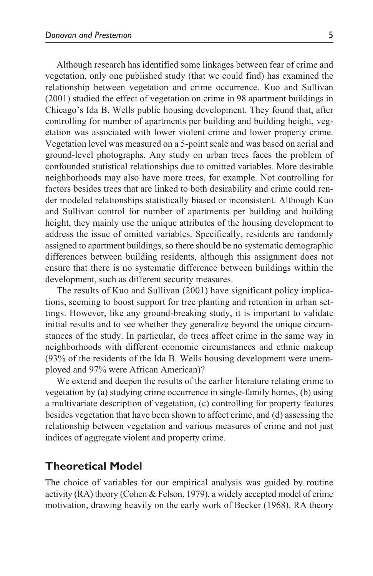Although research has identified some linkages between fear of crime and vegetation, only one published study (that we could find) has examined the relationship between vegetation and crime occurrence. Kuo and Sullivan (2001) studied the effect of vegetation on crime in 98 apartment buildings in Chicago's Ida B. Wells public housing development. They found that, after controlling for number of apartments per building and building height, vegetation was associated with lower violent crime and lower property crime. Vegetation level was measured on a 5-point scale and was based on aerial and ground-level photographs. Any study on urban trees faces the problem of confounded statistical relationships due to omitted variables. More desirable neighborhoods may also have more trees, for example. Not controlling for factors besides trees that are linked to both desirability and crime could render modeled relationships statistically biased or inconsistent. Although Kuo and Sullivan control for number of apartments per building and building height, they mainly use the unique attributes of the housing development to address the issue of omitted variables. Specifically, residents are randomly assigned to apartment buildings, so there should be no systematic demographic differences between building residents, although this assignment does not ensure that there is no systematic difference between buildings within the development, such as different security measures.

The results of Kuo and Sullivan (2001) have significant policy implications, seeming to boost support for tree planting and retention in urban settings. However, like any ground-breaking study, it is important to validate initial results and to see whether they generalize beyond the unique circumstances of the study. In particular, do trees affect crime in the same way in neighborhoods with different economic circumstances and ethnic makeup (93% of the residents of the Ida B. Wells housing development were unemployed and 97% were African American)?

We extend and deepen the results of the earlier literature relating crime to vegetation by (a) studying crime occurrence in single-family homes, (b) using a multivariate description of vegetation, (c) controlling for property features besides vegetation that have been shown to affect crime, and (d) assessing the relationship between vegetation and various measures of crime and not just indices of aggregate violent and property crime.

# **Theoretical Model**

The choice of variables for our empirical analysis was guided by routine activity (RA) theory (Cohen & Felson, 1979), a widely accepted model of crime motivation, drawing heavily on the early work of Becker (1968). RA theory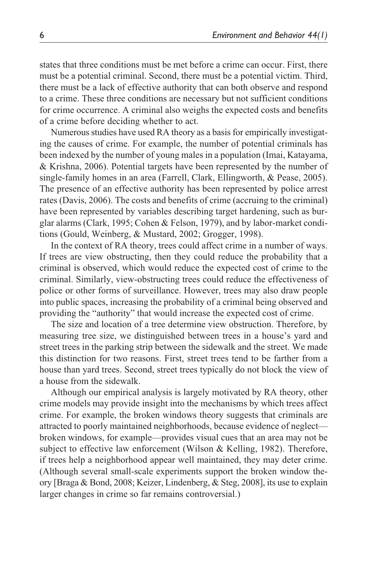states that three conditions must be met before a crime can occur. First, there must be a potential criminal. Second, there must be a potential victim. Third, there must be a lack of effective authority that can both observe and respond to a crime. These three conditions are necessary but not sufficient conditions for crime occurrence. A criminal also weighs the expected costs and benefits of a crime before deciding whether to act.

Numerous studies have used RA theory as a basis for empirically investigating the causes of crime. For example, the number of potential criminals has been indexed by the number of young males in a population (Imai, Katayama, & Krishna, 2006). Potential targets have been represented by the number of single-family homes in an area (Farrell, Clark, Ellingworth, & Pease, 2005). The presence of an effective authority has been represented by police arrest rates (Davis, 2006). The costs and benefits of crime (accruing to the criminal) have been represented by variables describing target hardening, such as burglar alarms (Clark, 1995; Cohen & Felson, 1979), and by labor-market conditions (Gould, Weinberg, & Mustard, 2002; Grogger, 1998).

In the context of RA theory, trees could affect crime in a number of ways. If trees are view obstructing, then they could reduce the probability that a criminal is observed, which would reduce the expected cost of crime to the criminal. Similarly, view-obstructing trees could reduce the effectiveness of police or other forms of surveillance. However, trees may also draw people into public spaces, increasing the probability of a criminal being observed and providing the "authority" that would increase the expected cost of crime.

The size and location of a tree determine view obstruction. Therefore, by measuring tree size, we distinguished between trees in a house's yard and street trees in the parking strip between the sidewalk and the street. We made this distinction for two reasons. First, street trees tend to be farther from a house than yard trees. Second, street trees typically do not block the view of a house from the sidewalk.

Although our empirical analysis is largely motivated by RA theory, other crime models may provide insight into the mechanisms by which trees affect crime. For example, the broken windows theory suggests that criminals are attracted to poorly maintained neighborhoods, because evidence of neglect broken windows, for example—provides visual cues that an area may not be subject to effective law enforcement (Wilson & Kelling, 1982). Therefore, if trees help a neighborhood appear well maintained, they may deter crime. (Although several small-scale experiments support the broken window theory [Braga & Bond, 2008; Keizer, Lindenberg, & Steg, 2008], its use to explain larger changes in crime so far remains controversial.)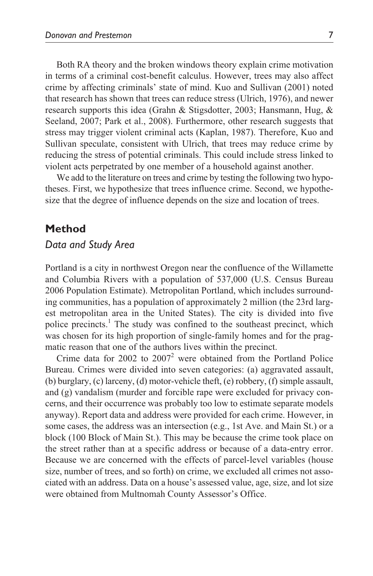Both RA theory and the broken windows theory explain crime motivation in terms of a criminal cost-benefit calculus. However, trees may also affect crime by affecting criminals' state of mind. Kuo and Sullivan (2001) noted that research has shown that trees can reduce stress (Ulrich, 1976), and newer research supports this idea (Grahn & Stigsdotter, 2003; Hansmann, Hug, & Seeland, 2007; Park et al., 2008). Furthermore, other research suggests that stress may trigger violent criminal acts (Kaplan, 1987). Therefore, Kuo and Sullivan speculate, consistent with Ulrich, that trees may reduce crime by reducing the stress of potential criminals. This could include stress linked to violent acts perpetrated by one member of a household against another.

We add to the literature on trees and crime by testing the following two hypotheses. First, we hypothesize that trees influence crime. Second, we hypothesize that the degree of influence depends on the size and location of trees.

## **Method**

# *Data and Study Area*

Portland is a city in northwest Oregon near the confluence of the Willamette and Columbia Rivers with a population of 537,000 (U.S. Census Bureau 2006 Population Estimate). Metropolitan Portland, which includes surrounding communities, has a population of approximately 2 million (the 23rd largest metropolitan area in the United States). The city is divided into five police precincts.<sup>1</sup> The study was confined to the southeast precinct, which was chosen for its high proportion of single-family homes and for the pragmatic reason that one of the authors lives within the precinct.

Crime data for  $2002$  to  $2007<sup>2</sup>$  were obtained from the Portland Police Bureau. Crimes were divided into seven categories: (a) aggravated assault, (b) burglary, (c) larceny, (d) motor-vehicle theft, (e) robbery, (f) simple assault, and (g) vandalism (murder and forcible rape were excluded for privacy concerns, and their occurrence was probably too low to estimate separate models anyway). Report data and address were provided for each crime. However, in some cases, the address was an intersection (e.g., 1st Ave. and Main St.) or a block (100 Block of Main St.). This may be because the crime took place on the street rather than at a specific address or because of a data-entry error. Because we are concerned with the effects of parcel-level variables (house size, number of trees, and so forth) on crime, we excluded all crimes not associated with an address. Data on a house's assessed value, age, size, and lot size were obtained from Multnomah County Assessor's Office.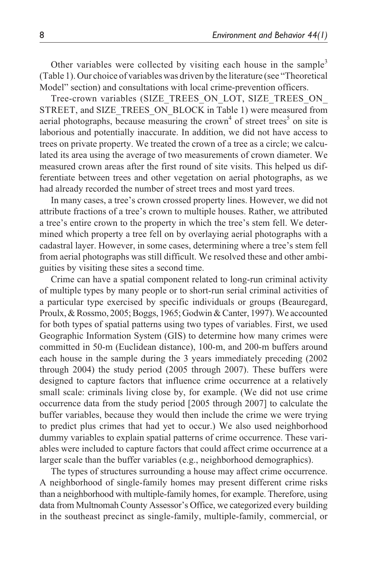Other variables were collected by visiting each house in the sample<sup>3</sup> (Table 1). Our choice of variables was driven by the literature (see "Theoretical Model" section) and consultations with local crime-prevention officers.

Tree-crown variables (SIZE\_TREES\_ON\_LOT, SIZE\_TREES\_ON\_ STREET, and SIZE\_TREES\_ON\_BLOCK in Table 1) were measured from aerial photographs, because measuring the crown<sup>4</sup> of street trees<sup>5</sup> on site is laborious and potentially inaccurate. In addition, we did not have access to trees on private property. We treated the crown of a tree as a circle; we calculated its area using the average of two measurements of crown diameter. We measured crown areas after the first round of site visits. This helped us differentiate between trees and other vegetation on aerial photographs, as we had already recorded the number of street trees and most yard trees.

In many cases, a tree's crown crossed property lines. However, we did not attribute fractions of a tree's crown to multiple houses. Rather, we attributed a tree's entire crown to the property in which the tree's stem fell. We determined which property a tree fell on by overlaying aerial photographs with a cadastral layer. However, in some cases, determining where a tree's stem fell from aerial photographs was still difficult. We resolved these and other ambiguities by visiting these sites a second time.

Crime can have a spatial component related to long-run criminal activity of multiple types by many people or to short-run serial criminal activities of a particular type exercised by specific individuals or groups (Beauregard, Proulx, & Rossmo, 2005; Boggs, 1965; Godwin & Canter, 1997). We accounted for both types of spatial patterns using two types of variables. First, we used Geographic Information System (GIS) to determine how many crimes were committed in 50-m (Euclidean distance), 100-m, and 200-m buffers around each house in the sample during the 3 years immediately preceding (2002 through 2004) the study period (2005 through 2007). These buffers were designed to capture factors that influence crime occurrence at a relatively small scale: criminals living close by, for example. (We did not use crime occurrence data from the study period [2005 through 2007] to calculate the buffer variables, because they would then include the crime we were trying to predict plus crimes that had yet to occur.) We also used neighborhood dummy variables to explain spatial patterns of crime occurrence. These variables were included to capture factors that could affect crime occurrence at a larger scale than the buffer variables (e.g., neighborhood demographics).

The types of structures surrounding a house may affect crime occurrence. A neighborhood of single-family homes may present different crime risks than a neighborhood with multiple-family homes, for example. Therefore, using data from Multnomah County Assessor's Office, we categorized every building in the southeast precinct as single-family, multiple-family, commercial, or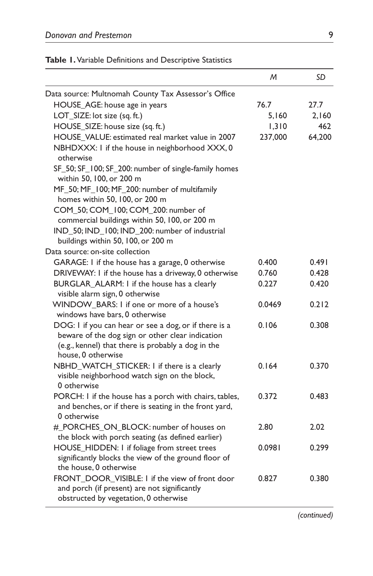|  |  |  |  | Table 1. Variable Definitions and Descriptive Statistics |
|--|--|--|--|----------------------------------------------------------|
|--|--|--|--|----------------------------------------------------------|

|                                                                                                                                                                                       | M       | SD     |
|---------------------------------------------------------------------------------------------------------------------------------------------------------------------------------------|---------|--------|
| Data source: Multnomah County Tax Assessor's Office                                                                                                                                   |         |        |
| HOUSE_AGE: house age in years                                                                                                                                                         | 76.7    | 27.7   |
| LOT_SIZE: lot size (sq. ft.)                                                                                                                                                          | 5,160   | 2,160  |
| HOUSE_SIZE: house size (sq. ft.)                                                                                                                                                      | 1,310   | 462    |
| HOUSE_VALUE: estimated real market value in 2007                                                                                                                                      | 237,000 | 64,200 |
| NBHDXXX: I if the house in neighborhood XXX, 0<br>otherwise                                                                                                                           |         |        |
| SF_50; SF_100; SF_200: number of single-family homes<br>within 50, 100, or 200 m                                                                                                      |         |        |
| MF_50; MF_100; MF_200: number of multifamily<br>homes within 50, 100, or 200 m                                                                                                        |         |        |
| COM_50; COM_100; COM_200: number of<br>commercial buildings within 50, 100, or 200 m                                                                                                  |         |        |
| IND_50; IND_100; IND_200: number of industrial<br>buildings within 50, 100, or 200 m                                                                                                  |         |        |
| Data source: on-site collection                                                                                                                                                       |         |        |
| GARAGE: I if the house has a garage, 0 otherwise                                                                                                                                      | 0.400   | 0.491  |
| DRIVEVVAY: I if the house has a driveway, 0 otherwise                                                                                                                                 | 0.760   | 0.428  |
| BURGLAR_ALARM: I if the house has a clearly<br>visible alarm sign, 0 otherwise                                                                                                        | 0.227   | 0.420  |
| WINDOW_BARS: I if one or more of a house's                                                                                                                                            | 0.0469  | 0.212  |
| windows have bars, 0 otherwise                                                                                                                                                        |         |        |
| DOG: I if you can hear or see a dog, or if there is a<br>beware of the dog sign or other clear indication<br>(e.g., kennel) that there is probably a dog in the<br>house, 0 otherwise | 0.106   | 0.308  |
| NBHD_WATCH_STICKER: I if there is a clearly<br>visible neighborhood watch sign on the block,<br>0 otherwise                                                                           | 0.164   | 0.370  |
| PORCH: I if the house has a porch with chairs, tables,<br>and benches, or if there is seating in the front yard,<br>0 otherwise                                                       | 0.372   | 0.483  |
| #_PORCHES_ON_BLOCK: number of houses on<br>the block with porch seating (as defined earlier)                                                                                          | 2.80    | 2.02   |
| HOUSE_HIDDEN: I if foliage from street trees<br>significantly blocks the view of the ground floor of<br>the house, 0 otherwise                                                        | 0.0981  | 0.299  |
| FRONT DOOR VISIBLE: I if the view of front door<br>and porch (if present) are not significantly<br>obstructed by vegetation, 0 otherwise                                              | 0.827   | 0.380  |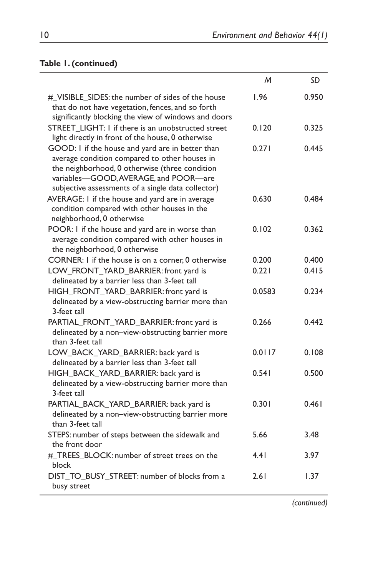# **Table 1. (continued)**

|                                                                                                                                                                                                                                                    | M      | SD    |
|----------------------------------------------------------------------------------------------------------------------------------------------------------------------------------------------------------------------------------------------------|--------|-------|
| # VISIBLE SIDES: the number of sides of the house<br>that do not have vegetation, fences, and so forth<br>significantly blocking the view of windows and doors                                                                                     | 1.96   | 0.950 |
| STREET_LIGHT: I if there is an unobstructed street<br>light directly in front of the house, 0 otherwise                                                                                                                                            | 0.120  | 0.325 |
| GOOD: I if the house and yard are in better than<br>average condition compared to other houses in<br>the neighborhood, 0 otherwise (three condition<br>variables-GOOD, AVERAGE, and POOR-are<br>subjective assessments of a single data collector) | 0.271  | 0.445 |
| AVERAGE: I if the house and yard are in average<br>condition compared with other houses in the<br>neighborhood, 0 otherwise                                                                                                                        | 0.630  | 0.484 |
| POOR: I if the house and yard are in worse than<br>average condition compared with other houses in<br>the neighborhood, 0 otherwise                                                                                                                | 0.102  | 0.362 |
| CORNER: I if the house is on a corner, 0 otherwise                                                                                                                                                                                                 | 0.200  | 0.400 |
| LOW_FRONT_YARD_BARRIER: front yard is<br>delineated by a barrier less than 3-feet tall                                                                                                                                                             | 0.221  | 0.415 |
| HIGH_FRONT_YARD_BARRIER: front yard is<br>delineated by a view-obstructing barrier more than<br>3-feet tall                                                                                                                                        | 0.0583 | 0.234 |
| PARTIAL_FRONT_YARD_BARRIER: front yard is<br>delineated by a non-view-obstructing barrier more<br>than 3-feet tall                                                                                                                                 | 0.266  | 0.442 |
| LOW_BACK_YARD_BARRIER: back yard is<br>delineated by a barrier less than 3-feet tall                                                                                                                                                               | 0.0117 | 0.108 |
| HIGH BACK YARD BARRIER: back yard is<br>delineated by a view-obstructing barrier more than<br>3-feet tall                                                                                                                                          | 0.541  | 0.500 |
| PARTIAL_BACK_YARD_BARRIER: back yard is<br>delineated by a non-view-obstructing barrier more<br>than 3-feet tall                                                                                                                                   | 0.301  | 0.461 |
| STEPS: number of steps between the sidewalk and<br>the front door                                                                                                                                                                                  | 5.66   | 3.48  |
| #_TREES_BLOCK: number of street trees on the<br>block                                                                                                                                                                                              | 4.41   | 3.97  |
| DIST_TO_BUSY_STREET: number of blocks from a<br>busy street                                                                                                                                                                                        | 2.61   | 1.37  |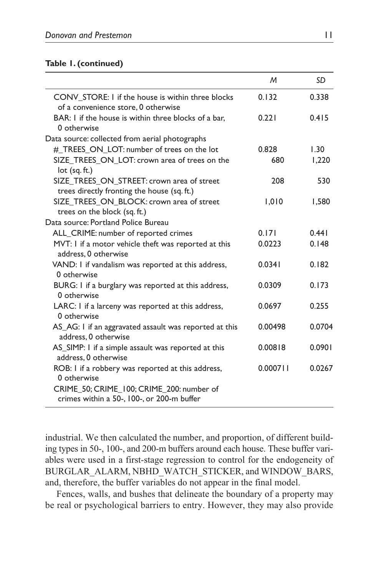#### **Table 1. (continued)**

|                                                                                           | M        | SD     |
|-------------------------------------------------------------------------------------------|----------|--------|
| CONV STORE: I if the house is within three blocks<br>of a convenience store, 0 otherwise  | 0.132    | 0.338  |
| BAR: I if the house is within three blocks of a bar,<br>0 otherwise                       | 0.221    | 0.415  |
| Data source: collected from aerial photographs                                            |          |        |
| #_TREES_ON_LOT: number of trees on the lot                                                | 0.828    | 1.30   |
| SIZE TREES ON LOT: crown area of trees on the<br>$lot$ (sq. ft.)                          | 680      | 1,220  |
| SIZE_TREES_ON_STREET: crown area of street<br>trees directly fronting the house (sq. ft.) | 208      | 530    |
| SIZE_TREES_ON_BLOCK: crown area of street<br>trees on the block (sq. ft.)                 | 1,010    | 1,580  |
| Data source: Portland Police Bureau                                                       |          |        |
| ALL_CRIME: number of reported crimes                                                      | 0.171    | 0.441  |
| MVT: I if a motor vehicle theft was reported at this<br>address, 0 otherwise              | 0.0223   | 0.148  |
| VAND: I if vandalism was reported at this address,<br>0 otherwise                         | 0.0341   | 0.182  |
| BURG: I if a burglary was reported at this address,<br>0 otherwise                        | 0.0309   | 0.173  |
| LARC: I if a larceny was reported at this address,<br>0 otherwise                         | 0.0697   | 0.255  |
| AS_AG: I if an aggravated assault was reported at this<br>address, 0 otherwise            | 0.00498  | 0.0704 |
| AS_SIMP: I if a simple assault was reported at this<br>address, 0 otherwise               | 0.00818  | 0.0901 |
| ROB: I if a robbery was reported at this address,<br>0 otherwise                          | 0.000711 | 0.0267 |
| CRIME 50; CRIME 100; CRIME 200: number of<br>crimes within a 50-, 100-, or 200-m buffer   |          |        |

industrial. We then calculated the number, and proportion, of different building types in 50-, 100-, and 200-m buffers around each house. These buffer variables were used in a first-stage regression to control for the endogeneity of BURGLAR\_ALARM, NBHD\_WATCH\_STICKER, and WINDOW\_BARS, and, therefore, the buffer variables do not appear in the final model.

Fences, walls, and bushes that delineate the boundary of a property may be real or psychological barriers to entry. However, they may also provide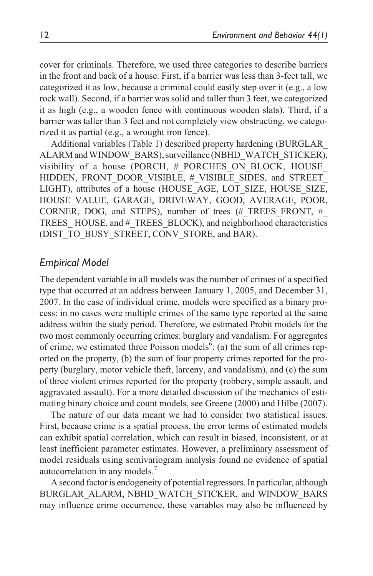cover for criminals. Therefore, we used three categories to describe barriers in the front and back of a house. First, if a barrier was less than 3-feet tall, we categorized it as low, because a criminal could easily step over it (e.g., a low rock wall). Second, if a barrier was solid and taller than 3 feet, we categorized it as high (e.g., a wooden fence with continuous wooden slats). Third, if a barrier was taller than 3 feet and not completely view obstructing, we categorized it as partial (e.g., a wrought iron fence).

Additional variables (Table 1) described property hardening (BURGLAR\_ ALARM and WINDOW\_BARS), surveillance (NBHD\_WATCH\_STICKER), visibility of a house (PORCH, # PORCHES ON BLOCK, HOUSE HIDDEN, FRONT DOOR VISIBLE, # VISIBLE SIDES, and STREET LIGHT), attributes of a house (HOUSE\_AGE, LOT\_SIZE, HOUSE\_SIZE, HOUSE\_VALUE, GARAGE, DRIVEWAY, GOOD, AVERAGE, POOR, CORNER, DOG, and STEPS), number of trees (#\_TREES\_FRONT, #\_ TREES\_ HOUSE, and #\_TREES\_BLOCK), and neighborhood characteristics (DIST\_TO\_BUSY\_STREET, CONV\_STORE, and BAR).

# *Empirical Model*

The dependent variable in all models was the number of crimes of a specified type that occurred at an address between January 1, 2005, and December 31, 2007. In the case of individual crime, models were specified as a binary process: in no cases were multiple crimes of the same type reported at the same address within the study period. Therefore, we estimated Probit models for the two most commonly occurring crimes: burglary and vandalism. For aggregates of crime, we estimated three Poisson models<sup>6</sup>: (a) the sum of all crimes reported on the property, (b) the sum of four property crimes reported for the property (burglary, motor vehicle theft, larceny, and vandalism), and (c) the sum of three violent crimes reported for the property (robbery, simple assault, and aggravated assault). For a more detailed discussion of the mechanics of estimating binary choice and count models, see Greene (2000) and Hilbe (2007).

The nature of our data meant we had to consider two statistical issues. First, because crime is a spatial process, the error terms of estimated models can exhibit spatial correlation, which can result in biased, inconsistent, or at least inefficient parameter estimates. However, a preliminary assessment of model residuals using semivariogram analysis found no evidence of spatial autocorrelation in any models.<sup>7</sup>

A second factor is endogeneity of potential regressors. In particular, although BURGLAR\_ALARM, NBHD\_WATCH\_STICKER, and WINDOW\_BARS may influence crime occurrence, these variables may also be influenced by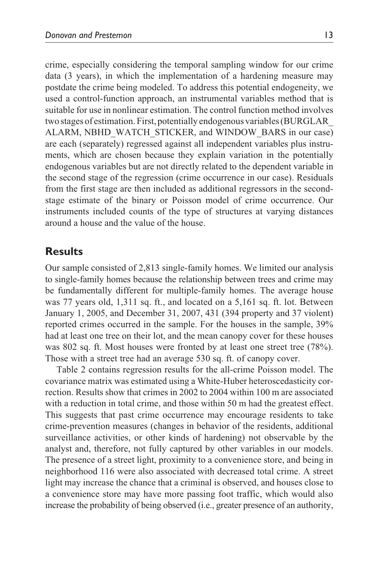crime, especially considering the temporal sampling window for our crime data (3 years), in which the implementation of a hardening measure may postdate the crime being modeled. To address this potential endogeneity, we used a control-function approach, an instrumental variables method that is suitable for use in nonlinear estimation. The control function method involves two stages of estimation. First, potentially endogenous variables (BURGLAR\_ ALARM, NBHD\_WATCH\_STICKER, and WINDOW\_BARS in our case) are each (separately) regressed against all independent variables plus instruments, which are chosen because they explain variation in the potentially endogenous variables but are not directly related to the dependent variable in the second stage of the regression (crime occurrence in our case). Residuals from the first stage are then included as additional regressors in the secondstage estimate of the binary or Poisson model of crime occurrence. Our instruments included counts of the type of structures at varying distances around a house and the value of the house.

# **Results**

Our sample consisted of 2,813 single-family homes. We limited our analysis to single-family homes because the relationship between trees and crime may be fundamentally different for multiple-family homes. The average house was 77 years old, 1,311 sq. ft., and located on a 5,161 sq. ft. lot. Between January 1, 2005, and December 31, 2007, 431 (394 property and 37 violent) reported crimes occurred in the sample. For the houses in the sample, 39% had at least one tree on their lot, and the mean canopy cover for these houses was 802 sq. ft. Most houses were fronted by at least one street tree (78%). Those with a street tree had an average 530 sq. ft. of canopy cover.

Table 2 contains regression results for the all-crime Poisson model. The covariance matrix was estimated using a White-Huber heteroscedasticity correction. Results show that crimes in 2002 to 2004 within 100 m are associated with a reduction in total crime, and those within 50 m had the greatest effect. This suggests that past crime occurrence may encourage residents to take crime-prevention measures (changes in behavior of the residents, additional surveillance activities, or other kinds of hardening) not observable by the analyst and, therefore, not fully captured by other variables in our models. The presence of a street light, proximity to a convenience store, and being in neighborhood 116 were also associated with decreased total crime. A street light may increase the chance that a criminal is observed, and houses close to a convenience store may have more passing foot traffic, which would also increase the probability of being observed (i.e., greater presence of an authority,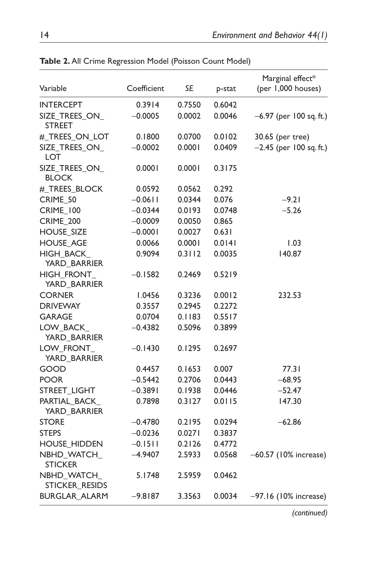| Variable                        | Coefficient | SE     | p-stat | Marginal effect*<br>(per 1,000 houses) |
|---------------------------------|-------------|--------|--------|----------------------------------------|
| <b>INTERCEPT</b>                | 0.3914      | 0.7550 | 0.6042 |                                        |
| SIZE_TREES_ON_<br><b>STREET</b> | $-0.0005$   | 0.0002 | 0.0046 | -6.97 (per 100 sq. ft.)                |
| # TREES ON LOT                  | 0.1800      | 0.0700 | 0.0102 | 30.65 (per tree)                       |
| SIZE_TREES_ON_<br>LOT           | $-0.0002$   | 0.0001 | 0.0409 | $-2.45$ (per 100 sq. ft.)              |
| SIZE_TREES_ON_<br><b>BLOCK</b>  | 0.0001      | 0.0001 | 0.3175 |                                        |
| #_TREES_BLOCK                   | 0.0592      | 0.0562 | 0.292  |                                        |
| CRIME_50                        | $-0.0611$   | 0.0344 | 0.076  | $-9.21$                                |
| <b>CRIME_100</b>                | $-0.0344$   | 0.0193 | 0.0748 | $-5.26$                                |
| <b>CRIME_200</b>                | $-0.0009$   | 0.0050 | 0.865  |                                        |
| <b>HOUSE_SIZE</b>               | $-0.0001$   | 0.0027 | 0.631  |                                        |
| <b>HOUSE_AGE</b>                | 0.0066      | 0.0001 | 0.0141 | 1.03                                   |
| HIGH_BACK_<br>YARD_BARRIER      | 0.9094      | 0.3112 | 0.0035 | 140.87                                 |
| HIGH_FRONT_<br>YARD_BARRIER     | $-0.1582$   | 0.2469 | 0.5219 |                                        |
| <b>CORNER</b>                   | 1.0456      | 0.3236 | 0.0012 | 232.53                                 |
| <b>DRIVEWAY</b>                 | 0.3557      | 0.2945 | 0.2272 |                                        |
| <b>GARAGE</b>                   | 0.0704      | 0.1183 | 0.5517 |                                        |
| LOW BACK<br>YARD_BARRIER        | $-0.4382$   | 0.5096 | 0.3899 |                                        |
| LOW_FRONT<br>YARD_BARRIER       | $-0.1430$   | 0.1295 | 0.2697 |                                        |
| GOOD                            | 0.4457      | 0.1653 | 0.007  | 77.3 I                                 |
| POOR                            | $-0.5442$   | 0.2706 | 0.0443 | $-68.95$                               |
| STREET_LIGHT                    | $-0.3891$   | 0.1938 | 0.0446 | $-52.47$                               |
| PARTIAL BACK<br>YARD_BARRIER    | 0.7898      | 0.3127 | 0.0115 | 147.30                                 |
| STORE                           | $-0.4780$   | 0.2195 | 0.0294 | $-62.86$                               |
| STEPS                           | $-0.0236$   | 0.0271 | 0.3837 |                                        |
| <b>HOUSE_HIDDEN</b>             | $-0.1511$   | 0.2126 | 0.4772 |                                        |
| NBHD_WATCH_<br><b>STICKER</b>   | $-4.9407$   | 2.5933 | 0.0568 | $-60.57$ (10% increase)                |
| NBHD_WATCH_<br>STICKER_RESIDS   | 5.1748      | 2.5959 | 0.0462 |                                        |
| <b>BURGLAR_ALARM</b>            | $-9.8187$   | 3.3563 | 0.0034 | -97.16 (10% increase)                  |

**Table 2.** All Crime Regression Model (Poisson Count Model)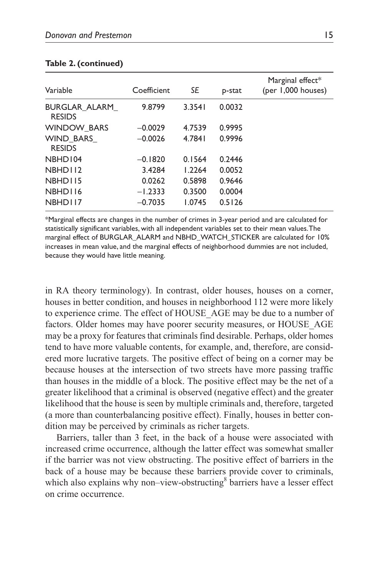| Variable                       | Coefficient | SE     | p-stat | Marginal effect*<br>(per 1,000 houses) |
|--------------------------------|-------------|--------|--------|----------------------------------------|
| BURGLAR ALARM<br><b>RESIDS</b> | 9.8799      | 3.3541 | 0.0032 |                                        |
| <b>WINDOW BARS</b>             | $-0.0029$   | 4.7539 | 0.9995 |                                        |
| WIND BARS<br><b>RESIDS</b>     | $-0.0026$   | 4.7841 | 0.9996 |                                        |
| NBHD104                        | $-0.1820$   | 0.1564 | 0.2446 |                                        |
| NBHD112                        | 3.4284      | 1.2264 | 0.0052 |                                        |
| NBHD115                        | 0.0262      | 0.5898 | 0.9646 |                                        |
| NBHD116                        | $-1.2333$   | 0.3500 | 0.0004 |                                        |
| NBHD117                        | $-0.7035$   | 1.0745 | 0.5126 |                                        |

#### **Table 2. (continued)**

\*Marginal effects are changes in the number of crimes in 3-year period and are calculated for statistically significant variables, with all independent variables set to their mean values. The marginal effect of BURGLAR\_ALARM and NBHD\_WATCH\_STICKER are calculated for 10% increases in mean value, and the marginal effects of neighborhood dummies are not included, because they would have little meaning.

in RA theory terminology). In contrast, older houses, houses on a corner, houses in better condition, and houses in neighborhood 112 were more likely to experience crime. The effect of HOUSE\_AGE may be due to a number of factors. Older homes may have poorer security measures, or HOUSE\_AGE may be a proxy for features that criminals find desirable. Perhaps, older homes tend to have more valuable contents, for example, and, therefore, are considered more lucrative targets. The positive effect of being on a corner may be because houses at the intersection of two streets have more passing traffic than houses in the middle of a block. The positive effect may be the net of a greater likelihood that a criminal is observed (negative effect) and the greater likelihood that the house is seen by multiple criminals and, therefore, targeted (a more than counterbalancing positive effect). Finally, houses in better condition may be perceived by criminals as richer targets.

Barriers, taller than 3 feet, in the back of a house were associated with increased crime occurrence, although the latter effect was somewhat smaller if the barrier was not view obstructing. The positive effect of barriers in the back of a house may be because these barriers provide cover to criminals, which also explains why non-view-obstructing<sup>8</sup> barriers have a lesser effect on crime occurrence.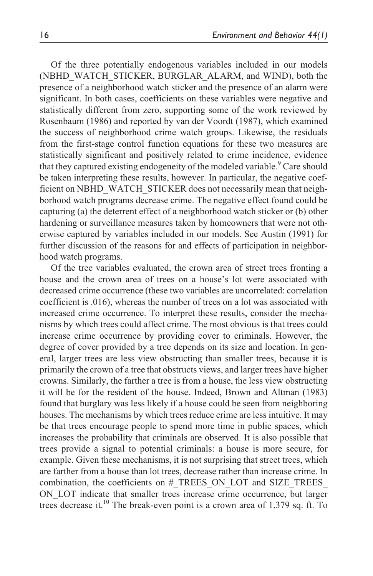Of the three potentially endogenous variables included in our models (NBHD\_WATCH\_STICKER, BURGLAR\_ALARM, and WIND), both the presence of a neighborhood watch sticker and the presence of an alarm were significant. In both cases, coefficients on these variables were negative and statistically different from zero, supporting some of the work reviewed by Rosenbaum (1986) and reported by van der Voordt (1987), which examined the success of neighborhood crime watch groups. Likewise, the residuals from the first-stage control function equations for these two measures are statistically significant and positively related to crime incidence, evidence that they captured existing endogeneity of the modeled variable.<sup>9</sup> Care should be taken interpreting these results, however. In particular, the negative coefficient on NBHD\_WATCH\_STICKER does not necessarily mean that neighborhood watch programs decrease crime. The negative effect found could be capturing (a) the deterrent effect of a neighborhood watch sticker or (b) other hardening or surveillance measures taken by homeowners that were not otherwise captured by variables included in our models. See Austin (1991) for further discussion of the reasons for and effects of participation in neighborhood watch programs.

Of the tree variables evaluated, the crown area of street trees fronting a house and the crown area of trees on a house's lot were associated with decreased crime occurrence (these two variables are uncorrelated: correlation coefficient is .016), whereas the number of trees on a lot was associated with increased crime occurrence. To interpret these results, consider the mechanisms by which trees could affect crime. The most obvious is that trees could increase crime occurrence by providing cover to criminals. However, the degree of cover provided by a tree depends on its size and location. In general, larger trees are less view obstructing than smaller trees, because it is primarily the crown of a tree that obstructs views, and larger trees have higher crowns. Similarly, the farther a tree is from a house, the less view obstructing it will be for the resident of the house. Indeed, Brown and Altman (1983) found that burglary was less likely if a house could be seen from neighboring houses. The mechanisms by which trees reduce crime are less intuitive. It may be that trees encourage people to spend more time in public spaces, which increases the probability that criminals are observed. It is also possible that trees provide a signal to potential criminals: a house is more secure, for example. Given these mechanisms, it is not surprising that street trees, which are farther from a house than lot trees, decrease rather than increase crime. In combination, the coefficients on # TREES\_ON\_LOT and SIZE\_TREES ON\_LOT indicate that smaller trees increase crime occurrence, but larger trees decrease it.<sup>10</sup> The break-even point is a crown area of 1,379 sq. ft. To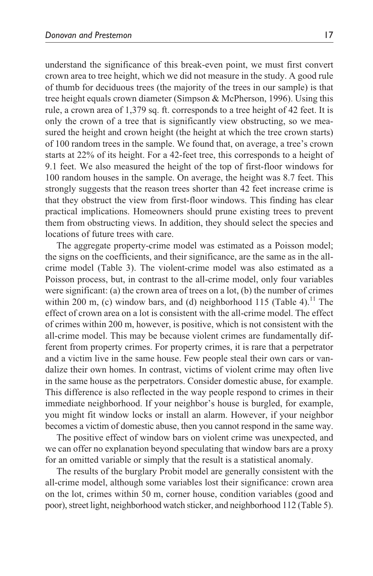understand the significance of this break-even point, we must first convert crown area to tree height, which we did not measure in the study. A good rule of thumb for deciduous trees (the majority of the trees in our sample) is that tree height equals crown diameter (Simpson & McPherson, 1996). Using this rule, a crown area of 1,379 sq. ft. corresponds to a tree height of 42 feet. It is only the crown of a tree that is significantly view obstructing, so we measured the height and crown height (the height at which the tree crown starts) of 100 random trees in the sample. We found that, on average, a tree's crown starts at 22% of its height. For a 42-feet tree, this corresponds to a height of 9.1 feet. We also measured the height of the top of first-floor windows for 100 random houses in the sample. On average, the height was 8.7 feet. This strongly suggests that the reason trees shorter than 42 feet increase crime is that they obstruct the view from first-floor windows. This finding has clear practical implications. Homeowners should prune existing trees to prevent them from obstructing views. In addition, they should select the species and locations of future trees with care.

The aggregate property-crime model was estimated as a Poisson model; the signs on the coefficients, and their significance, are the same as in the allcrime model (Table 3). The violent-crime model was also estimated as a Poisson process, but, in contrast to the all-crime model, only four variables were significant: (a) the crown area of trees on a lot, (b) the number of crimes within 200 m, (c) window bars, and (d) neighborhood 115 (Table 4).<sup>11</sup> The effect of crown area on a lot is consistent with the all-crime model. The effect of crimes within 200 m, however, is positive, which is not consistent with the all-crime model. This may be because violent crimes are fundamentally different from property crimes. For property crimes, it is rare that a perpetrator and a victim live in the same house. Few people steal their own cars or vandalize their own homes. In contrast, victims of violent crime may often live in the same house as the perpetrators. Consider domestic abuse, for example. This difference is also reflected in the way people respond to crimes in their immediate neighborhood. If your neighbor's house is burgled, for example, you might fit window locks or install an alarm. However, if your neighbor becomes a victim of domestic abuse, then you cannot respond in the same way.

The positive effect of window bars on violent crime was unexpected, and we can offer no explanation beyond speculating that window bars are a proxy for an omitted variable or simply that the result is a statistical anomaly.

The results of the burglary Probit model are generally consistent with the all-crime model, although some variables lost their significance: crown area on the lot, crimes within 50 m, corner house, condition variables (good and poor), street light, neighborhood watch sticker, and neighborhood 112 (Table 5).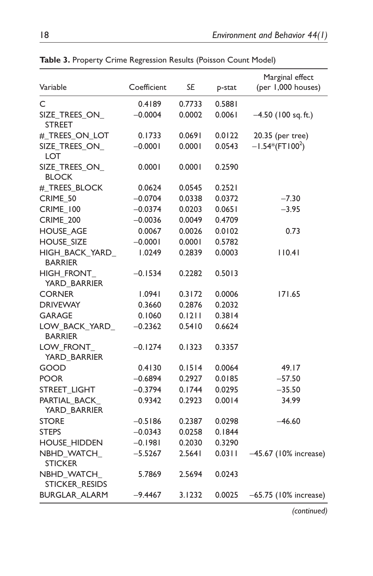| Variable                         | Coefficient | SE     | p-stat | Marginal effect<br>(per 1,000 houses) |
|----------------------------------|-------------|--------|--------|---------------------------------------|
| C                                | 0.4189      | 0.7733 | 0.5881 |                                       |
| SIZE_TREES_ON_<br>STREET         | $-0.0004$   | 0.0002 | 0.0061 | $-4.50$ (100 sq. ft.)                 |
| #_TREES_ON_LOT                   | 0.1733      | 0.0691 | 0.0122 | 20.35 (per tree)                      |
| SIZE_TREES_ON_<br>LOT            | $-0.0001$   | 0.0001 | 0.0543 | $-1.54*(FT100^2)$                     |
| SIZE TREES ON<br><b>BLOCK</b>    | 0.0001      | 0.0001 | 0.2590 |                                       |
| #_TREES_BLOCK                    | 0.0624      | 0.0545 | 0.2521 |                                       |
| CRIME_50                         | $-0.0704$   | 0.0338 | 0.0372 | $-7.30$                               |
| <b>CRIME_100</b>                 | $-0.0374$   | 0.0203 | 0.0651 | $-3.95$                               |
| <b>CRIME_200</b>                 | $-0.0036$   | 0.0049 | 0.4709 |                                       |
| <b>HOUSE AGE</b>                 | 0.0067      | 0.0026 | 0.0102 | 0.73                                  |
| <b>HOUSE SIZE</b>                | $-0.0001$   | 0.0001 | 0.5782 |                                       |
| HIGH BACK YARD<br><b>BARRIER</b> | 1.0249      | 0.2839 | 0.0003 | 110.41                                |
| HIGH_FRONT_<br>YARD_BARRIER      | $-0.1534$   | 0.2282 | 0.5013 |                                       |
| <b>CORNER</b>                    | 1.0941      | 0.3172 | 0.0006 | 171.65                                |
| <b>DRIVEWAY</b>                  | 0.3660      | 0.2876 | 0.2032 |                                       |
| <b>GARAGE</b>                    | 0.1060      | 0.1211 | 0.3814 |                                       |
| LOW_BACK_YARD_<br><b>BARRIER</b> | $-0.2362$   | 0.5410 | 0.6624 |                                       |
| LOW_FRONT_<br>YARD_BARRIER       | $-0.1274$   | 0.1323 | 0.3357 |                                       |
| GOOD                             | 0.4130      | 0.1514 | 0.0064 | 49.17                                 |
| <b>POOR</b>                      | -0.6894     | 0.2927 | 0.0185 | $-57.50$                              |
| STREET_LIGHT                     | $-0.3794$   | 0.1744 | 0.0295 | $-35.50$                              |
| PARTIAL_BACK<br>YARD BARRIER     | 0.9342      | 0.2923 | 0.0014 | 34.99                                 |
| <b>STORE</b>                     | $-0.5186$   | 0.2387 | 0.0298 | $-46.60$                              |
| <b>STEPS</b>                     | $-0.0343$   | 0.0258 | 0.1844 |                                       |
| <b>HOUSE_HIDDEN</b>              | $-0.1981$   | 0.2030 | 0.3290 |                                       |
| NBHD_WATCH_<br><b>STICKER</b>    | $-5.5267$   | 2.5641 | 0.0311 | -45.67 (10% increase)                 |
| NBHD WATCH<br>STICKER RESIDS     | 5.7869      | 2.5694 | 0.0243 |                                       |
| <b>BURGLAR ALARM</b>             | $-9.4467$   | 3.1232 | 0.0025 | $-65.75$ (10% increase)               |

**Table 3.** Property Crime Regression Results (Poisson Count Model)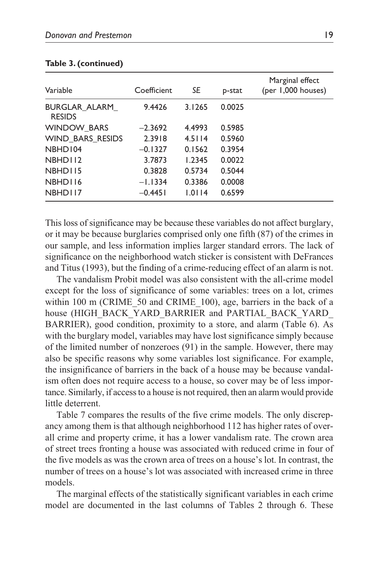| Variable                       | Coefficient | SE     | p-stat | Marginal effect<br>(per 1,000 houses) |
|--------------------------------|-------------|--------|--------|---------------------------------------|
| BURGLAR ALARM<br><b>RESIDS</b> | 9.4426      | 3.1265 | 0.0025 |                                       |
| <b>WINDOW BARS</b>             | $-2.3692$   | 4.4993 | 0.5985 |                                       |
| WIND BARS RESIDS               | 2.3918      | 4.5114 | 0.5960 |                                       |
| NBHD104                        | $-0.1327$   | 0.1562 | 0.3954 |                                       |
| NBHD112                        | 3.7873      | 1.2345 | 0.0022 |                                       |
| NBHD115                        | 0.3828      | 0.5734 | 0.5044 |                                       |
| NBHD116                        | $-1.1334$   | 0.3386 | 0.0008 |                                       |
| NBHD117                        | $-0.4451$   | 1.0114 | 0.6599 |                                       |

#### **Table 3. (continued)**

This loss of significance may be because these variables do not affect burglary, or it may be because burglaries comprised only one fifth (87) of the crimes in our sample, and less information implies larger standard errors. The lack of significance on the neighborhood watch sticker is consistent with DeFrances and Titus (1993), but the finding of a crime-reducing effect of an alarm is not.

The vandalism Probit model was also consistent with the all-crime model except for the loss of significance of some variables: trees on a lot, crimes within 100 m (CRIME 50 and CRIME 100), age, barriers in the back of a house (HIGH\_BACK\_YARD\_BARRIER and PARTIAL\_BACK\_YARD\_ BARRIER), good condition, proximity to a store, and alarm (Table 6). As with the burglary model, variables may have lost significance simply because of the limited number of nonzeroes (91) in the sample. However, there may also be specific reasons why some variables lost significance. For example, the insignificance of barriers in the back of a house may be because vandalism often does not require access to a house, so cover may be of less importance. Similarly, if access to a house is not required, then an alarm would provide little deterrent.

Table 7 compares the results of the five crime models. The only discrepancy among them is that although neighborhood 112 has higher rates of overall crime and property crime, it has a lower vandalism rate. The crown area of street trees fronting a house was associated with reduced crime in four of the five models as was the crown area of trees on a house's lot. In contrast, the number of trees on a house's lot was associated with increased crime in three models.

The marginal effects of the statistically significant variables in each crime model are documented in the last columns of Tables 2 through 6. These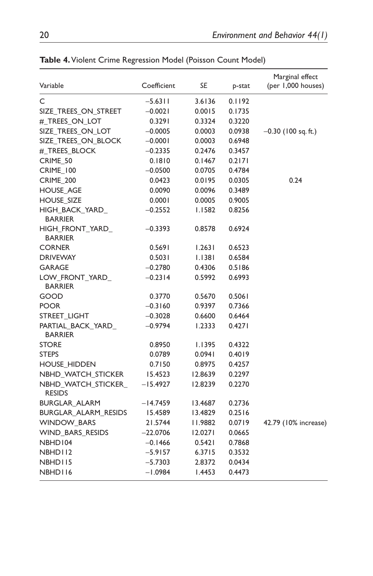| Variable                             | Coefficient | SE      | p-stat | Marginal effect<br>(per 1,000 houses) |
|--------------------------------------|-------------|---------|--------|---------------------------------------|
| C                                    | $-5.63$ I I | 3.6136  | 0.1192 |                                       |
| SIZE_TREES_ON_STREET                 | $-0.0021$   | 0.0015  | 0.1735 |                                       |
| #_TREES_ON_LOT                       | 0.3291      | 0.3324  | 0.3220 |                                       |
| SIZE_TREES_ON_LOT                    | $-0.0005$   | 0.0003  | 0.0938 | $-0.30$ (100 sq. ft.)                 |
| SIZE TREES ON BLOCK                  | $-0.0001$   | 0.0003  | 0.6948 |                                       |
| #_TREES_BLOCK                        | $-0.2335$   | 0.2476  | 0.3457 |                                       |
| CRIME 50                             | 0.1810      | 0.1467  | 0.2171 |                                       |
| CRIME_100                            | $-0.0500$   | 0.0705  | 0.4784 |                                       |
| CRIME_200                            | 0.0423      | 0.0195  | 0.0305 | 0.24                                  |
| <b>HOUSE_AGE</b>                     | 0.0090      | 0.0096  | 0.3489 |                                       |
| <b>HOUSE_SIZE</b>                    | 0.0001      | 0.0005  | 0.9005 |                                       |
| HIGH_BACK_YARD_<br><b>BARRIER</b>    | $-0.2552$   | I.I582  | 0.8256 |                                       |
| HIGH_FRONT_YARD_<br><b>BARRIER</b>   | $-0.3393$   | 0.8578  | 0.6924 |                                       |
| <b>CORNER</b>                        | 0.5691      | 1.2631  | 0.6523 |                                       |
| <b>DRIVEWAY</b>                      | 0.5031      | I.I38I  | 0.6584 |                                       |
| <b>GARAGE</b>                        | $-0.2780$   | 0.4306  | 0.5186 |                                       |
| LOW_FRONT_YARD_<br><b>BARRIER</b>    | $-0.2314$   | 0.5992  | 0.6993 |                                       |
| GOOD                                 | 0.3770      | 0.5670  | 0.5061 |                                       |
| <b>POOR</b>                          | $-0.3160$   | 0.9397  | 0.7366 |                                       |
| STREET_LIGHT                         | $-0.3028$   | 0.6600  | 0.6464 |                                       |
| PARTIAL BACK_YARD_<br><b>BARRIER</b> | $-0.9794$   | 1.2333  | 0.4271 |                                       |
| <b>STORE</b>                         | 0.8950      | I.I395  | 0.4322 |                                       |
| <b>STEPS</b>                         | 0.0789      | 0.0941  | 0.4019 |                                       |
| <b>HOUSE_HIDDEN</b>                  | 0.7150      | 0.8975  | 0.4257 |                                       |
| NBHD_WATCH_STICKER                   | 15.4523     | 12.8639 | 0.2297 |                                       |
| NBHD_WATCH_STICKER_<br><b>RESIDS</b> | $-15.4927$  | 12.8239 | 0.2270 |                                       |
| BURGLAR_ALARM                        | -14.7459    | 13.4687 | 0.2736 |                                       |
| BURGLAR_ALARM_RESIDS                 | 15.4589     | 13.4829 | 0.2516 |                                       |
| <b>WINDOW_BARS</b>                   | 21.5744     | 11.9882 | 0.0719 | 42.79 (10% increase)                  |
| <b>WIND_BARS_RESIDS</b>              | $-22.0706$  | 12.0271 | 0.0665 |                                       |
| NBHD104                              | $-0.1466$   | 0.5421  | 0.7868 |                                       |
| NBHD112                              | $-5.9157$   | 6.3715  | 0.3532 |                                       |
| NBHD115                              | $-5.7303$   | 2.8372  | 0.0434 |                                       |
| NBHD116                              | $-1.0984$   | 1.4453  | 0.4473 |                                       |

**Table 4.** Violent Crime Regression Model (Poisson Count Model)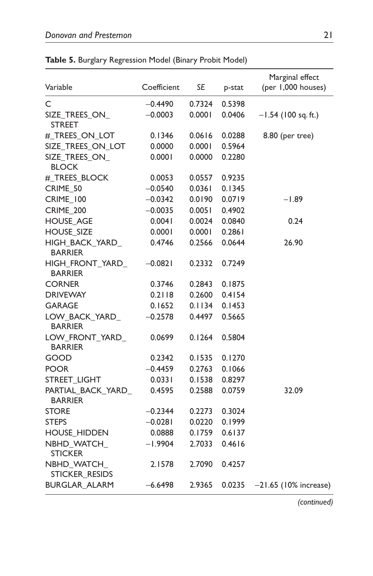| Coefficient | <b>SE</b> | p-stat | Marginal effect<br>(per 1,000 houses) |
|-------------|-----------|--------|---------------------------------------|
| $-0.4490$   | 0.7324    | 0.5398 |                                       |
| $-0.0003$   | 0.0001    | 0.0406 | $-1.54$ (100 sq. ft.)                 |
| 0.1346      | 0.0616    | 0.0288 | 8.80 (per tree)                       |
| 0.0000      | 0.0001    | 0.5964 |                                       |
| 0.0001      | 0.0000    | 0.2280 |                                       |
| 0.0053      | 0.0557    | 0.9235 |                                       |
| $-0.0540$   | 0.0361    | 0.1345 |                                       |
| $-0.0342$   | 0.0190    | 0.0719 | $-1.89$                               |
| $-0.0035$   | 0.0051    | 0.4902 |                                       |
| 0.0041      | 0.0024    | 0.0840 | 0.24                                  |
| 0.0001      | 0.0001    | 0.2861 |                                       |
| 0.4746      | 0.2566    | 0.0644 | 26.90                                 |
| $-0.0821$   | 0.2332    | 0.7249 |                                       |
| 0.3746      | 0.2843    | 0.1875 |                                       |
| 0.2118      | 0.2600    | 0.4154 |                                       |
| 0.1652      |           | 0.1453 |                                       |
| $-0.2578$   | 0.4497    | 0.5665 |                                       |
| 0.0699      | 0.1264    | 0.5804 |                                       |
| 0.2342      | 0.1535    | 0.1270 |                                       |
| $-0.4459$   | 0.2763    | 0.1066 |                                       |
| 0.0331      | 0.1538    | 0.8297 |                                       |
| 0.4595      | 0.2588    | 0.0759 | 32.09                                 |
| $-0.2344$   | 0.2273    | 0.3024 |                                       |
| $-0.0281$   | 0.0220    | 0.1999 |                                       |
| 0.0888      | 0.1759    | 0.6137 |                                       |
| -1.9904     | 2.7033    | 0.4616 |                                       |
| 2.1578      | 2.7090    | 0.4257 |                                       |
| $-6.6498$   | 2.9365    | 0.0235 | $-21.65$ (10% increase)               |
|             |           |        | 0.1134                                |

| Table 5. Burglary Regression Model (Binary Probit Model) |  |
|----------------------------------------------------------|--|
|----------------------------------------------------------|--|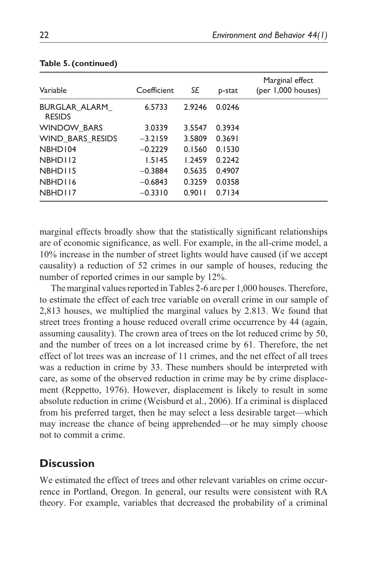| Variable                       | Coefficient | SE     | p-stat | Marginal effect<br>(per 1,000 houses) |
|--------------------------------|-------------|--------|--------|---------------------------------------|
| BURGLAR ALARM<br><b>RESIDS</b> | 6.5733      | 2.9246 | 0.0246 |                                       |
| <b>WINDOW BARS</b>             | 3.0339      | 3.5547 | 0.3934 |                                       |
| WIND BARS RESIDS               | $-3.2159$   | 3.5809 | 0.3691 |                                       |
| NBHD104                        | $-0.2229$   | 0.1560 | 0.1530 |                                       |
| NBHD112                        | 1.5145      | 1.2459 | 0.2242 |                                       |
| NBHD115                        | $-0.3884$   | 0.5635 | 0.4907 |                                       |
| NBHD116                        | $-0.6843$   | 0.3259 | 0.0358 |                                       |
| NBHD117                        | $-0.3310$   | 0.9011 | 0.7134 |                                       |

#### **Table 5. (continued)**

marginal effects broadly show that the statistically significant relationships are of economic significance, as well. For example, in the all-crime model, a 10% increase in the number of street lights would have caused (if we accept causality) a reduction of 52 crimes in our sample of houses, reducing the number of reported crimes in our sample by 12%.

The marginal values reported in Tables 2-6 are per 1,000 houses. Therefore, to estimate the effect of each tree variable on overall crime in our sample of 2,813 houses, we multiplied the marginal values by 2.813. We found that street trees fronting a house reduced overall crime occurrence by 44 (again, assuming causality). The crown area of trees on the lot reduced crime by 50, and the number of trees on a lot increased crime by 61. Therefore, the net effect of lot trees was an increase of 11 crimes, and the net effect of all trees was a reduction in crime by 33. These numbers should be interpreted with care, as some of the observed reduction in crime may be by crime displacement (Reppetto, 1976). However, displacement is likely to result in some absolute reduction in crime (Weisburd et al., 2006). If a criminal is displaced from his preferred target, then he may select a less desirable target—which may increase the chance of being apprehended—or he may simply choose not to commit a crime.

# **Discussion**

We estimated the effect of trees and other relevant variables on crime occurrence in Portland, Oregon. In general, our results were consistent with RA theory. For example, variables that decreased the probability of a criminal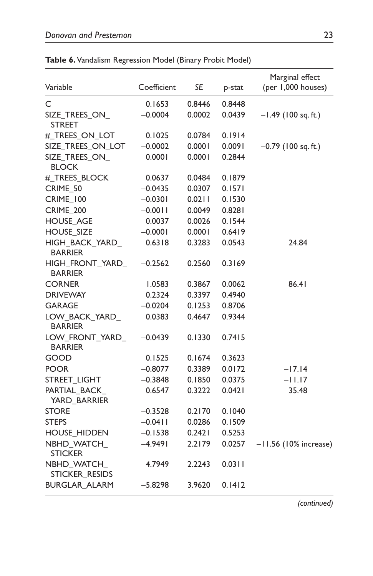| Variable                            | Coefficient | SE     | p-stat | Marginal effect<br>(per 1,000 houses) |
|-------------------------------------|-------------|--------|--------|---------------------------------------|
| C                                   | 0.1653      | 0.8446 | 0.8448 |                                       |
| SIZE TREES ON<br><b>STREET</b>      | $-0.0004$   | 0.0002 | 0.0439 | $-1.49$ (100 sq. ft.)                 |
| # TREES ON LOT                      | 0.1025      | 0.0784 | 0.1914 |                                       |
| SIZE_TREES_ON_LOT                   | $-0.0002$   | 0.0001 | 0.0091 | $-0.79$ (100 sq. ft.)                 |
| SIZE_TREES_ON_<br><b>BLOCK</b>      | 0.0001      | 0.0001 | 0.2844 |                                       |
| #_TREES_BLOCK                       | 0.0637      | 0.0484 | 0.1879 |                                       |
| CRIME 50                            | $-0.0435$   | 0.0307 | 0.1571 |                                       |
| <b>CRIME_100</b>                    | $-0.0301$   | 0.0211 | 0.1530 |                                       |
| <b>CRIME_200</b>                    | $-0.0011$   | 0.0049 | 0.8281 |                                       |
| <b>HOUSE AGE</b>                    | 0.0037      | 0.0026 | 0.1544 |                                       |
| <b>HOUSE_SIZE</b>                   | $-0.0001$   | 0.0001 | 0.6419 |                                       |
| HIGH_BACK_YARD_<br><b>BARRIER</b>   | 0.6318      | 0.3283 | 0.0543 | 24.84                                 |
| HIGH_FRONT_YARD_<br><b>BARRIER</b>  | $-0.2562$   | 0.2560 | 0.3169 |                                       |
| <b>CORNER</b>                       | 1.0583      | 0.3867 | 0.0062 | 86.41                                 |
| <b>DRIVEWAY</b>                     | 0.2324      | 0.3397 | 0.4940 |                                       |
| <b>GARAGE</b>                       | $-0.0204$   | 0.1253 | 0.8706 |                                       |
| LOW_BACK_YARD_<br><b>BARRIER</b>    | 0.0383      | 0.4647 | 0.9344 |                                       |
| LOW_FRONT_YARD_<br><b>BARRIER</b>   | $-0.0439$   | 0.1330 | 0.7415 |                                       |
| GOOD                                | 0.1525      | 0.1674 | 0.3623 |                                       |
| <b>POOR</b>                         | $-0.8077$   | 0.3389 | 0.0172 | -17.14                                |
| STREET_LIGHT                        | $-0.3848$   | 0.1850 | 0.0375 | $-11.17$                              |
| PARTIAL_BACK_<br>YARD_BARRIER       | 0.6547      | 0.3222 | 0.0421 | 35.48                                 |
| <b>STORE</b>                        | $-0.3528$   | 0.2170 | 0.1040 |                                       |
| <b>STEPS</b>                        | $-0.04$ I I | 0.0286 | 0.1509 |                                       |
| <b>HOUSE HIDDEN</b>                 | $-0.1538$   | 0.2421 | 0.5253 |                                       |
| NBHD_WATCH_<br><b>STICKER</b>       | -4.9491     | 2.2179 | 0.0257 | $-11.56$ (10% increase)               |
| NBHD WATCH<br><b>STICKER RESIDS</b> | 4.7949      | 2.2243 | 0.0311 |                                       |
| BURGLAR_ALARM                       | $-5.8298$   | 3.9620 | 0.1412 |                                       |

**Table 6.** Vandalism Regression Model (Binary Probit Model)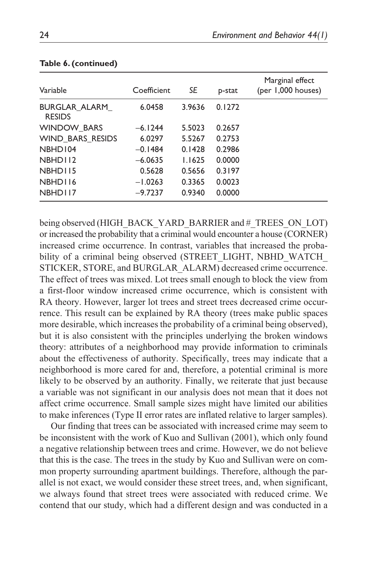| Variable                       | Coefficient | SE     | p-stat | Marginal effect<br>(per 1,000 houses) |
|--------------------------------|-------------|--------|--------|---------------------------------------|
| BURGLAR ALARM<br><b>RESIDS</b> | 6.0458      | 3.9636 | 0.1272 |                                       |
| <b>WINDOW BARS</b>             | $-6.1244$   | 5.5023 | 0.2657 |                                       |
| WIND BARS RESIDS               | 6.0297      | 5.5267 | 0.2753 |                                       |
| NBHD104                        | $-0.1484$   | 0.1428 | 0.2986 |                                       |
| NBHD112                        | $-6.0635$   | 1.1625 | 0.0000 |                                       |
| NBHD115                        | 0.5628      | 0.5656 | 0.3197 |                                       |
| NBHD116                        | $-1.0263$   | 0.3365 | 0.0023 |                                       |
| NBHD117                        | $-9.7237$   | 0.9340 | 0.0000 |                                       |

#### **Table 6. (continued)**

being observed (HIGH\_BACK\_YARD\_BARRIER and #\_TREES\_ON\_LOT) or increased the probability that a criminal would encounter a house (CORNER) increased crime occurrence. In contrast, variables that increased the probability of a criminal being observed (STREET LIGHT, NBHD WATCH STICKER, STORE, and BURGLAR\_ALARM) decreased crime occurrence. The effect of trees was mixed. Lot trees small enough to block the view from a first-floor window increased crime occurrence, which is consistent with RA theory. However, larger lot trees and street trees decreased crime occurrence. This result can be explained by RA theory (trees make public spaces more desirable, which increases the probability of a criminal being observed), but it is also consistent with the principles underlying the broken windows theory: attributes of a neighborhood may provide information to criminals about the effectiveness of authority. Specifically, trees may indicate that a neighborhood is more cared for and, therefore, a potential criminal is more likely to be observed by an authority. Finally, we reiterate that just because a variable was not significant in our analysis does not mean that it does not affect crime occurrence. Small sample sizes might have limited our abilities to make inferences (Type II error rates are inflated relative to larger samples).

Our finding that trees can be associated with increased crime may seem to be inconsistent with the work of Kuo and Sullivan (2001), which only found a negative relationship between trees and crime. However, we do not believe that this is the case. The trees in the study by Kuo and Sullivan were on common property surrounding apartment buildings. Therefore, although the parallel is not exact, we would consider these street trees, and, when significant, we always found that street trees were associated with reduced crime. We contend that our study, which had a different design and was conducted in a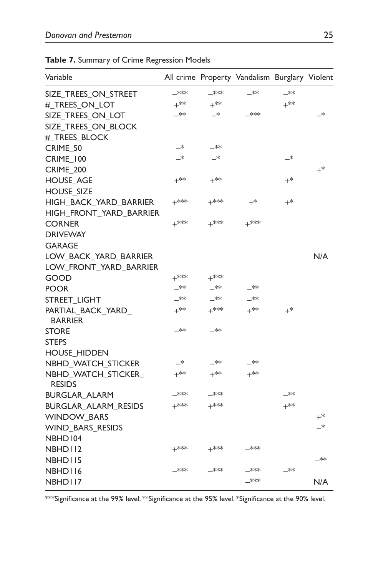| Variable                             |        |               | All crime Property Vandalism Burglary Violent |        |       |
|--------------------------------------|--------|---------------|-----------------------------------------------|--------|-------|
| SIZE_TREES_ON_STREET                 | _***   | $\perp$ **    | _**                                           | _**    |       |
| #_TREES_ON_LOT                       | $+$ ** | $+$ **        |                                               | $+$ ** |       |
| SIZE TREES ON LOT                    | _∗∗    | $\rightarrow$ | $*$                                           |        | _*    |
| SIZE_TREES_ON_BLOCK                  |        |               |                                               |        |       |
| #_TREES_BLOCK                        |        |               |                                               |        |       |
| CRIME 50                             | —*     | —**           |                                               |        |       |
| <b>CRIME_100</b>                     | —*     | _*            |                                               | —*     |       |
| CRIME 200                            |        |               |                                               |        | $+^*$ |
| <b>HOUSE AGE</b>                     | $+$ ** | ⊥**           |                                               | $+^*$  |       |
| <b>HOUSE_SIZE</b>                    |        |               |                                               |        |       |
| HIGH_BACK_YARD_BARRIER               | $+$ ** | $+$ **        | $+^*$                                         | $+^*$  |       |
| HIGH_FRONT_YARD_BARRIER              |        |               |                                               |        |       |
| CORNER                               | $+$ ** | $+$ **        | $+$ **                                        |        |       |
| <b>DRIVEWAY</b>                      |        |               |                                               |        |       |
| GARAGE                               |        |               |                                               |        |       |
| LOW_BACK_YARD_BARRIER                |        |               |                                               |        | N/A   |
| LOW_FRONT_YARD_BARRIER               |        |               |                                               |        |       |
| GOOD                                 | $+$ ** | $+$ **        |                                               |        |       |
| <b>POOR</b>                          | _**    | —**           | _**                                           |        |       |
| STREET_LIGHT                         | —**    | —**           | —**                                           |        |       |
| PARTIAL_BACK_YARD_<br><b>BARRIER</b> | $+$ ** | $+$ **        | $+$ **                                        | $+^*$  |       |
| <b>STORE</b>                         | _**    | _**           |                                               |        |       |
| <b>STEPS</b>                         |        |               |                                               |        |       |
| <b>HOUSE HIDDEN</b>                  |        |               |                                               |        |       |
| NBHD WATCH STICKER                   | —*     | —**           | _**                                           |        |       |
| NBHD_WATCH_STICKER_<br><b>RESIDS</b> | $+$ ** | $+^{**}$      | $+$ **                                        |        |       |
| <b>BURGLAR ALARM</b>                 | –***   | –∗∗∗          |                                               | —**    |       |
| <b>BURGLAR ALARM RESIDS</b>          | $+$ ** | $+$ **        |                                               | $+$ ** |       |
| <b>WINDOW_BARS</b>                   |        |               |                                               |        | $+^*$ |
| WIND_BARS_RESIDS                     |        |               |                                               |        | _*    |
| NBHD104                              |        |               |                                               |        |       |
| NBHD112                              | $+$ ** | $+$ **        | $\rightarrow$                                 |        |       |
| NBHD115                              |        |               |                                               |        | _**   |
| NBHD116                              | –***   | —***          | –***                                          | —**    |       |
| NBHD117                              |        |               | $\rightarrow$                                 |        | N/A   |

**Table 7.** Summary of Crime Regression Models

\*\*\*Significance at the 99% level. \*\*Significance at the 95% level. \*Significance at the 90% level.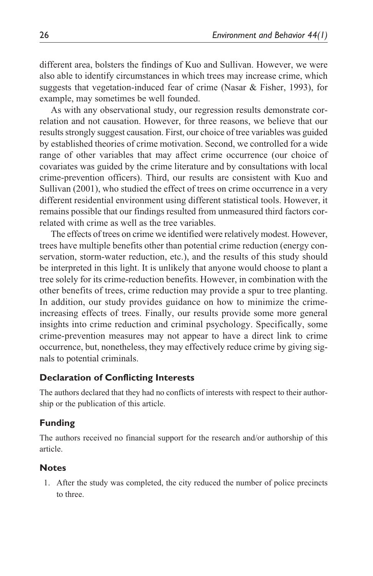different area, bolsters the findings of Kuo and Sullivan. However, we were also able to identify circumstances in which trees may increase crime, which suggests that vegetation-induced fear of crime (Nasar & Fisher, 1993), for example, may sometimes be well founded.

As with any observational study, our regression results demonstrate correlation and not causation. However, for three reasons, we believe that our results strongly suggest causation. First, our choice of tree variables was guided by established theories of crime motivation. Second, we controlled for a wide range of other variables that may affect crime occurrence (our choice of covariates was guided by the crime literature and by consultations with local crime-prevention officers). Third, our results are consistent with Kuo and Sullivan (2001), who studied the effect of trees on crime occurrence in a very different residential environment using different statistical tools. However, it remains possible that our findings resulted from unmeasured third factors correlated with crime as well as the tree variables.

The effects of trees on crime we identified were relatively modest. However, trees have multiple benefits other than potential crime reduction (energy conservation, storm-water reduction, etc.), and the results of this study should be interpreted in this light. It is unlikely that anyone would choose to plant a tree solely for its crime-reduction benefits. However, in combination with the other benefits of trees, crime reduction may provide a spur to tree planting. In addition, our study provides guidance on how to minimize the crimeincreasing effects of trees. Finally, our results provide some more general insights into crime reduction and criminal psychology. Specifically, some crime-prevention measures may not appear to have a direct link to crime occurrence, but, nonetheless, they may effectively reduce crime by giving signals to potential criminals.

### **Declaration of Conflicting Interests**

The authors declared that they had no conflicts of interests with respect to their authorship or the publication of this article.

### **Funding**

The authors received no financial support for the research and/or authorship of this article.

### **Notes**

1. After the study was completed, the city reduced the number of police precincts to three.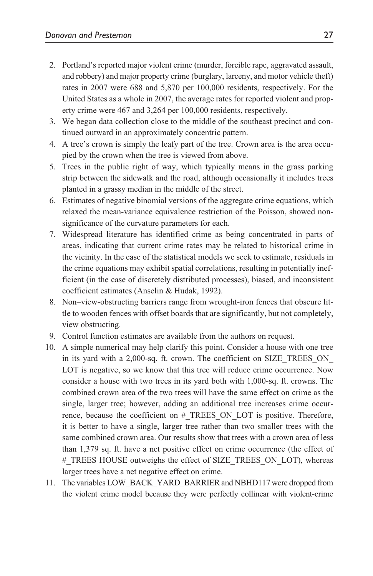- 2. Portland's reported major violent crime (murder, forcible rape, aggravated assault, and robbery) and major property crime (burglary, larceny, and motor vehicle theft) rates in 2007 were 688 and 5,870 per 100,000 residents, respectively. For the United States as a whole in 2007, the average rates for reported violent and property crime were 467 and 3,264 per 100,000 residents, respectively.
- 3. We began data collection close to the middle of the southeast precinct and continued outward in an approximately concentric pattern.
- 4. A tree's crown is simply the leafy part of the tree. Crown area is the area occupied by the crown when the tree is viewed from above.
- 5. Trees in the public right of way, which typically means in the grass parking strip between the sidewalk and the road, although occasionally it includes trees planted in a grassy median in the middle of the street.
- 6. Estimates of negative binomial versions of the aggregate crime equations, which relaxed the mean-variance equivalence restriction of the Poisson, showed nonsignificance of the curvature parameters for each.
- 7. Widespread literature has identified crime as being concentrated in parts of areas, indicating that current crime rates may be related to historical crime in the vicinity. In the case of the statistical models we seek to estimate, residuals in the crime equations may exhibit spatial correlations, resulting in potentially inefficient (in the case of discretely distributed processes), biased, and inconsistent coefficient estimates (Anselin & Hudak, 1992).
- 8. Non–view-obstructing barriers range from wrought-iron fences that obscure little to wooden fences with offset boards that are significantly, but not completely, view obstructing.
- 9. Control function estimates are available from the authors on request.
- 10. A simple numerical may help clarify this point. Consider a house with one tree in its yard with a 2,000-sq. ft. crown. The coefficient on SIZE\_TREES\_ON\_ LOT is negative, so we know that this tree will reduce crime occurrence. Now consider a house with two trees in its yard both with 1,000-sq. ft. crowns. The combined crown area of the two trees will have the same effect on crime as the single, larger tree; however, adding an additional tree increases crime occurrence, because the coefficient on #\_TREES\_ON\_LOT is positive. Therefore, it is better to have a single, larger tree rather than two smaller trees with the same combined crown area. Our results show that trees with a crown area of less than 1,379 sq. ft. have a net positive effect on crime occurrence (the effect of # TREES HOUSE outweighs the effect of SIZE\_TREES\_ON\_LOT), whereas larger trees have a net negative effect on crime.
- 11. The variables LOW\_BACK\_YARD\_BARRIER and NBHD117 were dropped from the violent crime model because they were perfectly collinear with violent-crime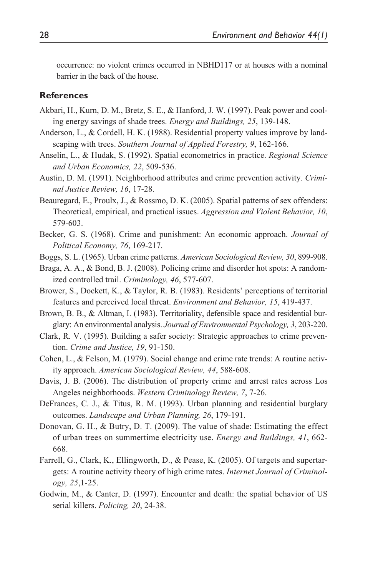occurrence: no violent crimes occurred in NBHD117 or at houses with a nominal barrier in the back of the house.

#### **References**

- Akbari, H., Kurn, D. M., Bretz, S. E., & Hanford, J. W. (1997). Peak power and cooling energy savings of shade trees. *Energy and Buildings, 25*, 139-148.
- Anderson, L., & Cordell, H. K. (1988). Residential property values improve by landscaping with trees. *Southern Journal of Applied Forestry, 9*, 162-166.
- Anselin, L., & Hudak, S. (1992). Spatial econometrics in practice. *Regional Science and Urban Economics, 22*, 509-536.
- Austin, D. M. (1991). Neighborhood attributes and crime prevention activity. *Criminal Justice Review, 16*, 17-28.
- Beauregard, E., Proulx, J., & Rossmo, D. K. (2005). Spatial patterns of sex offenders: Theoretical, empirical, and practical issues. *Aggression and Violent Behavior, 10*, 579-603.
- Becker, G. S. (1968). Crime and punishment: An economic approach. *Journal of Political Economy, 76*, 169-217.
- Boggs, S. L. (1965). Urban crime patterns. *American Sociological Review, 30*, 899-908.
- Braga, A. A., & Bond, B. J. (2008). Policing crime and disorder hot spots: A randomized controlled trail. *Criminology, 46*, 577-607.
- Brower, S., Dockett, K., & Taylor, R. B. (1983). Residents' perceptions of territorial features and perceived local threat. *Environment and Behavior, 15*, 419-437.
- Brown, B. B., & Altman, I. (1983). Territoriality, defensible space and residential burglary: An environmental analysis. *Journal of Environmental Psychology, 3*, 203-220.
- Clark, R. V. (1995). Building a safer society: Strategic approaches to crime prevention. *Crime and Justice, 19*, 91-150.
- Cohen, L., & Felson, M. (1979). Social change and crime rate trends: A routine activity approach. *American Sociological Review, 44*, 588-608.
- Davis, J. B. (2006). The distribution of property crime and arrest rates across Los Angeles neighborhoods. *Western Criminology Review, 7*, 7-26.
- DeFrances, C. J., & Titus, R. M. (1993). Urban planning and residential burglary outcomes. *Landscape and Urban Planning, 26*, 179-191.
- Donovan, G. H., & Butry, D. T. (2009). The value of shade: Estimating the effect of urban trees on summertime electricity use. *Energy and Buildings, 41*, 662- 668.
- Farrell, G., Clark, K., Ellingworth, D., & Pease, K. (2005). Of targets and supertargets: A routine activity theory of high crime rates. *Internet Journal of Criminology, 25*,1-25.
- Godwin, M., & Canter, D. (1997). Encounter and death: the spatial behavior of US serial killers. *Policing, 20*, 24-38.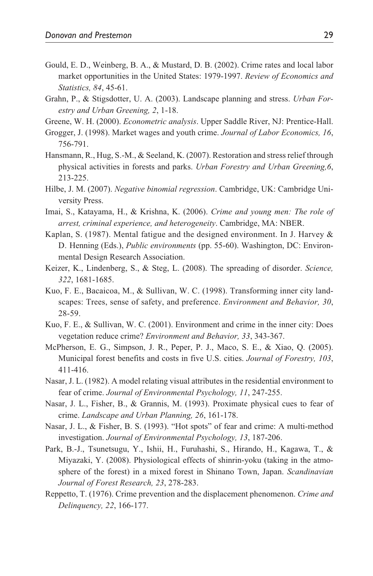- Gould, E. D., Weinberg, B. A., & Mustard, D. B. (2002). Crime rates and local labor market opportunities in the United States: 1979-1997. *Review of Economics and Statistics, 84*, 45-61.
- Grahn, P., & Stigsdotter, U. A. (2003). Landscape planning and stress. *Urban Forestry and Urban Greening, 2*, 1-18.
- Greene, W. H. (2000). *Econometric analysis*. Upper Saddle River, NJ: Prentice-Hall.
- Grogger, J. (1998). Market wages and youth crime. *Journal of Labor Economics, 16*, 756-791.
- Hansmann, R., Hug, S.-M., & Seeland, K. (2007). Restoration and stress relief through physical activities in forests and parks. *Urban Forestry and Urban Greening,6*, 213-225.
- Hilbe, J. M. (2007). *Negative binomial regression*. Cambridge, UK: Cambridge University Press.
- Imai, S., Katayama, H., & Krishna, K. (2006). *Crime and young men: The role of arrest, criminal experience, and heterogeneity*. Cambridge, MA: NBER.
- Kaplan, S. (1987). Mental fatigue and the designed environment. In J. Harvey & D. Henning (Eds.), *Public environments* (pp. 55-60). Washington, DC: Environmental Design Research Association.
- Keizer, K., Lindenberg, S., & Steg, L. (2008). The spreading of disorder. *Science, 322*, 1681-1685.
- Kuo, F. E., Bacaicoa, M., & Sullivan, W. C. (1998). Transforming inner city landscapes: Trees, sense of safety, and preference. *Environment and Behavior, 30*, 28-59.
- Kuo, F. E., & Sullivan, W. C. (2001). Environment and crime in the inner city: Does vegetation reduce crime? *Environment and Behavior, 33*, 343-367.
- McPherson, E. G., Simpson, J. R., Peper, P. J., Maco, S. E., & Xiao, Q. (2005). Municipal forest benefits and costs in five U.S. cities. *Journal of Forestry, 103*, 411-416.
- Nasar, J. L. (1982). A model relating visual attributes in the residential environment to fear of crime. *Journal of Environmental Psychology, 11*, 247-255.
- Nasar, J. L., Fisher, B., & Grannis, M. (1993). Proximate physical cues to fear of crime. *Landscape and Urban Planning, 26*, 161-178.
- Nasar, J. L., & Fisher, B. S. (1993). "Hot spots" of fear and crime: A multi-method investigation. *Journal of Environmental Psychology, 13*, 187-206.
- Park, B.-J., Tsunetsugu, Y., Ishii, H., Furuhashi, S., Hirando, H., Kagawa, T., & Miyazaki, Y. (2008). Physiological effects of shinrin-yoku (taking in the atmosphere of the forest) in a mixed forest in Shinano Town, Japan. *Scandinavian Journal of Forest Research, 23*, 278-283.
- Reppetto, T. (1976). Crime prevention and the displacement phenomenon. *Crime and Delinquency, 22*, 166-177.